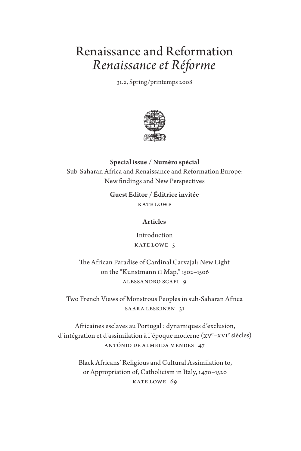# Renaissance and Reformation *Renaissance et Réforme*

31.2, Spring/printemps 2008



## Special issue / Numéro spécial Sub-Saharan Africa and Renaissance and Reformation Europe: New findings and New Perspectives

Guest Editor / Éditrice invitée KATE LOWE

#### Articles

Introduction KATE LOWE 5

The African Paradise of Cardinal Carvajal: New Light on the "Kunstmann II Map," 1502–1506 Alessandro Scafi 9

Two French Views of Monstrous Peoples in sub-Saharan Africa Saara Leskinen 31

Africaines esclaves au Portugal : dynamiques d'exclusion, d'intégration et d'assimilation à l'époque moderne (xve-xv1e siècles) António de Almeida Mendes 47

> Black Africans' Religious and Cultural Assimilation to, or Appropriation of, Catholicism in Italy, 1470–1520 KATE LOWE 69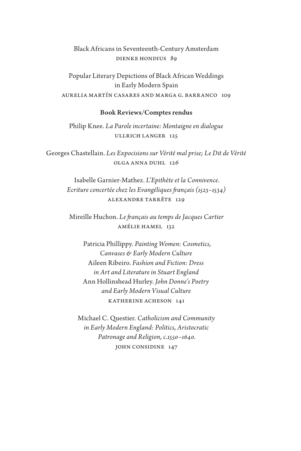### Black Africans in Seventeenth-Century Amsterdam Dienke Hondius 89

Popular Literary Depictions of Black African Weddings in Early Modern Spain Aurelia Martín Casares and Marga G. Barranco 109

#### Book Reviews/Comptes rendus

Philip Knee. *La Parole incertaine: Montaigne en dialogue* Ullrich Langer 125

Georges Chastellain. *Les Expocisions sur Vérité mal prise; Le Dit de Vérité* Olga Anna Duhl 126

> Isabelle Garnier-Mathez. *L'Epithète et la Connivence. Ecriture concertée chez les Evangéliques français (1523–1534)* Alexandre Tarrête 129

Mireille Huchon. *Le français au temps de Jacques Cartier* Amélie Hamel 132

Patricia Phillippy. *Painting Women: Cosmetics, Canvases & Early Modern Culture* Aileen Ribeiro. *Fashion and Fiction: Dress in Art and Literature in Stuart England* Ann Hollinshead Hurley. *John Donne's Poetry and Early Modern Visual Culture* KATHERINE ACHESON 141

Michael C. Questier. *Catholicism and Community in Early Modern England: Politics, Aristocratic Patronage and Religion, c.1550–1640.* JOHN CONSIDINE 147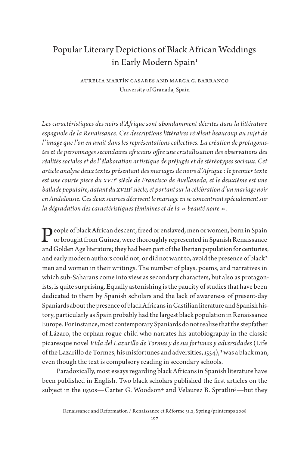# Popular Literary Depictions of Black African Weddings in Early Modern Spain<sup>1</sup>

Aurelia Martín Casares and Marga G. Barranco University of Granada, Spain

*Les caractéristiques des noirs d'Afrique sont abondamment décrites dans la littérature espagnole de la Renaissance. Ces descriptions littéraires révèlent beaucoup au sujet de l'image que l'on en avait dans les représentations collectives. La création de protagonistes et de personnages secondaires africains offre une cristallisation des observations des réalités sociales et de l'élaboration artistique de préjugés et de stéréotypes sociaux. Cet article analyse deux textes présentant des mariages de noirs d'Afrique : le premier texte*  est une courte pièce du xv11<sup>e</sup> siècle de Francisco de Avellaneda, et le deuxième est une *ballade populaire, datant du XVIIIe siècle, et portant sur la célébration d'un mariage noir en Andalousie. Ces deux sources décrivent le mariage en se concentrant spécialement sur la dégradation des caractéristiques féminines et de la « beauté noire ».*

People of black African descent, freed or enslaved, men or women, born in Spain<br>or brought from Cuinea, which is a control of the control of the control of the control of the control of the<br> $\Omega$ or brought from Guinea, were thoroughly represented in Spanish Renaissance and Golden Age literature; they had been part of the Iberian population for centuries, and early modern authors could not, or did not want to, avoid the presence of black<sup>2</sup> men and women in their writings. The number of plays, poems, and narratives in which sub-Saharans come into view as secondary characters, but also as protagonists, is quite surprising. Equally astonishing is the paucity of studies that have been dedicated to them by Spanish scholars and the lack of awareness of present-day Spaniards about the presence of black Africans in Castilian literature and Spanish history, particularly as Spain probably had the largest black population in Renaissance Europe. For instance, most contemporary Spaniards do not realize that the stepfather of Lázaro, the orphan rogue child who narrates his autobiography in the classic picaresque novel *Vida del Lazarillo de Tormes y de sus fortunas y adversidades* (Life of the Lazarillo de Tormes, his misfortunes and adversities,  $1554$ ,  $3$  was a black man, even though the text is compulsory reading in secondary schools.

Paradoxically, most essays regarding black Africans in Spanish literature have been published in English. Two black scholars published the first articles on the subject in the 1930s—Carter G. Woodson<sup>4</sup> and Velaurez B. Spratlin<sup>5</sup>—but they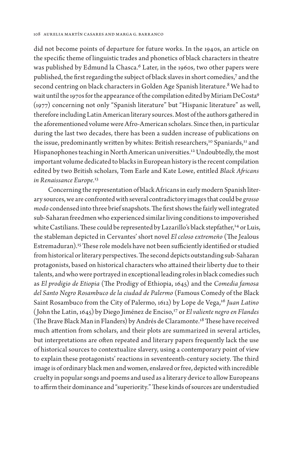did not become points of departure for future works. In the 1940s, an article on the specific theme of linguistic trades and phonetics of black characters in theatre was published by Edmund la Chasca.<sup>6</sup> Later, in the 1960s, two other papers were published, the first regarding the subject of black slaves in short comedies,7 and the second centring on black characters in Golden Age Spanish literature.<sup>8</sup> We had to wait until the 1970s for the appearance of the compilation edited by Miriam DeCosta9 (1977) concerning not only "Spanish literature" but "Hispanic literature" as well, therefore including Latin American literary sources. Most of the authors gathered in the aforementioned volume were Afro-American scholars. Since then, in particular during the last two decades, there has been a sudden increase of publications on the issue, predominantly written by whites: British researchers,<sup>10</sup> Spaniards,<sup>11</sup> and Hispanophones teaching in North American universities.<sup>12</sup> Undoubtedly, the most important volume dedicated to blacks in European history is the recent compilation edited by two British scholars, Tom Earle and Kate Lowe, entitled *Black Africans in Renaissance Europe.*<sup>13</sup>

Concerning the representation of black Africans in early modern Spanish literary sources, we are confronted with several contradictory images that could be *grosso modo* condensed into three brief snapshots. The first shows the fairly well integrated sub-Saharan freedmen who experienced similar living conditions to impoverished white Castilians. These could be represented by Lazarillo's black stepfather,<sup>14</sup> or Luis, the stableman depicted in Cervantes' short novel *El celoso extremeño* (The Jealous Estremaduran).15 These role models have not been sufficiently identified or studied from historical or literary perspectives. The second depicts outstanding sub-Saharan protagonists, based on historical characters who attained their liberty due to their talents, and who were portrayed in exceptional leading roles in black comedies such as *El prodigio de Etiopia* (The Prodigy of Ethiopia, 1645) and the *Comedia famosa del Santo Negro Rosambuco de la ciudad de Palermo* (Famous Comedy of the Black Saint Rosambuco from the City of Palermo, 1612) by Lope de Vega,<sup>16</sup> Juan Latino (John the Latin, 1645) by Diego Jiménez de Enciso,17 or *El valiente negro en Flandes*  (The Brave Black Man in Flanders) by Andrés de Claramonte.18 These have received much attention from scholars, and their plots are summarized in several articles, but interpretations are often repeated and literary papers frequently lack the use of historical sources to contextualize slavery, using a contemporary point of view to explain these protagonists' reactions in seventeenth-century society. The third image is of ordinary black men and women, enslaved or free, depicted with incredible cruelty in popular songs and poems and used as a literary device to allow Europeans to affirm their dominance and "superiority." These kinds of sources are understudied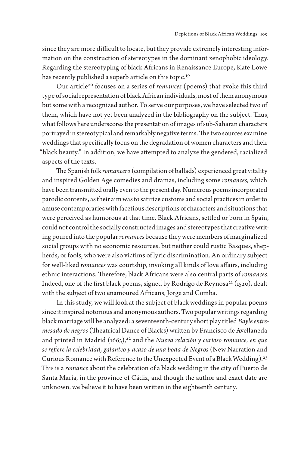since they are more difficult to locate, but they provide extremely interesting information on the construction of stereotypes in the dominant xenophobic ideology. Regarding the stereotyping of black Africans in Renaissance Europe, Kate Lowe has recently published a superb article on this topic.<sup>19</sup>

Our article20 focuses on a series of *romances* (poems) that evoke this third type of social representation of black African individuals, most of them anonymous but some with a recognized author. To serve our purposes, we have selected two of them, which have not yet been analyzed in the bibliography on the subject. Thus, what follows here underscores the presentation of images of sub-Saharan characters portrayed in stereotypical and remarkably negative terms. The two sources examine weddings that specifically focus on the degradation of women characters and their "black beauty." In addition, we have attempted to analyze the gendered, racialized aspects of the texts.

The Spanish folk *romancero* (compilation of ballads) experienced great vitality and inspired Golden Age comedies and dramas, including some *romances,* which have been transmitted orally even to the present day. Numerous poems incorporated parodic contents, as their aim was to satirize customs and social practices in order to amuse contemporaries with facetious descriptions of characters and situations that were perceived as humorous at that time. Black Africans, settled or born in Spain, could not control the socially constructed images and stereotypes that creative writing poured into the popular *romances* because they were members of marginalized social groups with no economic resources, but neither could rustic Basques, shepherds, or fools, who were also victims of lyric discrimination. An ordinary subject for well-liked *romances* was courtship, invoking all kinds of love affairs, including ethnic interactions. Therefore, black Africans were also central parts of *romances.*  Indeed, one of the first black poems, signed by Rodrigo de Reynosa<sup>21</sup> (1520), dealt with the subject of two enamoured Africans, Jorge and Comba.

In this study, we will look at the subject of black weddings in popular poems since it inspired notorious and anonymous authors. Two popular writings regarding black marriage will be analyzed: a seventeenth-century short play titled *Bayle entremesado de negros* (Theatrical Dance of Blacks) written by Francisco de Avellaneda and printed in Madrid (1663),<sup>22</sup> and the *Nueva relación y curioso romance, en que se refiere la celebridad, galanteo y acaso de una boda de Negros* (New Narration and Curious Romance with Reference to the Unexpected Event of a Black Wedding).<sup>23</sup> This is a *romance* about the celebration of a black wedding in the city of Puerto de Santa María, in the province of Cádiz, and though the author and exact date are unknown, we believe it to have been written in the eighteenth century.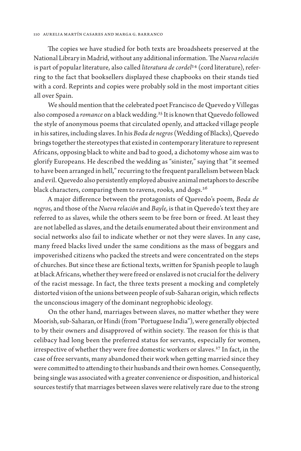The copies we have studied for both texts are broadsheets preserved at the National Library in Madrid, without any additional information. The *Nueva relación* is part of popular literature, also called *literatura de cordel*24 (cord literature), referring to the fact that booksellers displayed these chapbooks on their stands tied with a cord. Reprints and copies were probably sold in the most important cities all over Spain.

We should mention that the celebrated poet Francisco de Quevedo y Villegas also composed a *romance* on a black wedding.25 It is known that Quevedo followed the style of anonymous poems that circulated openly, and attacked village people in his satires, including slaves. In his *Boda de negros* (Wedding of Blacks), Quevedo brings together the stereotypes that existed in contemporary literature to represent Africans, opposing black to white and bad to good, a dichotomy whose aim was to glorify Europeans. He described the wedding as "sinister," saying that "it seemed to have been arranged in hell," recurring to the frequent parallelism between black and evil. Quevedo also persistently employed abusive animal metaphors to describe black characters, comparing them to ravens, rooks, and dogs.<sup>26</sup>

A major difference between the protagonists of Quevedo's poem, *Boda de negros,* and those of the *Nueva relación* and *Bayle,* is that in Quevedo's text they are referred to as slaves, while the others seem to be free born or freed. At least they are not labelled as slaves, and the details enumerated about their environment and social networks also fail to indicate whether or not they were slaves. In any case, many freed blacks lived under the same conditions as the mass of beggars and impoverished citizens who packed the streets and were concentrated on the steps of churches. But since these are fictional texts, written for Spanish people to laugh at black Africans, whether they were freed or enslaved is not crucial for the delivery of the racist message. In fact, the three texts present a mocking and completely distorted vision of the unions between people of sub-Saharan origin, which reflects the unconscious imagery of the dominant negrophobic ideology.

On the other hand, marriages between slaves, no matter whether they were Moorish, sub-Saharan, or Hindi (from "Portuguese India"), were generally objected to by their owners and disapproved of within society. The reason for this is that celibacy had long been the preferred status for servants, especially for women, irrespective of whether they were free domestic workers or slaves.27 In fact, in the case of free servants, many abandoned their work when getting married since they were committed to attending to their husbands and their own homes. Consequently, being single was associated with a greater convenience or disposition, and historical sources testify that marriages between slaves were relatively rare due to the strong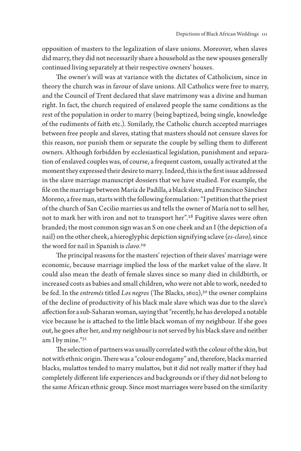opposition of masters to the legalization of slave unions. Moreover, when slaves did marry, they did not necessarily share a household as the new spouses generally continued living separately at their respective owners' houses.

The owner's will was at variance with the dictates of Catholicism, since in theory the church was in favour of slave unions. All Catholics were free to marry, and the Council of Trent declared that slave matrimony was a divine and human right. In fact, the church required of enslaved people the same conditions as the rest of the population in order to marry (being baptized, being single, knowledge of the rudiments of faith etc.). Similarly, the Catholic church accepted marriages between free people and slaves, stating that masters should not censure slaves for this reason, nor punish them or separate the couple by selling them to different owners. Although forbidden by ecclesiastical legislation, punishment and separation of enslaved couples was, of course, a frequent custom, usually activated at the moment they expressed their desire to marry. Indeed, this is the first issue addressed in the slave marriage manuscript dossiers that we have studied. For example, the file on the marriage between María de Padilla, a black slave, and Francisco Sánchez Moreno, a free man, starts with the following formulation: "I petition that the priest of the church of San Cecilio marries us and tells the owner of María not to sell her, not to mark her with iron and not to transport her".<sup>28</sup> Fugitive slaves were often branded; the most common sign was an S on one cheek and an I (the depiction of a nail) on the other cheek, a hieroglyphic depiction signifying sclave (*es-clavo),* since the word for nail in Spanish is *clavo.*<sup>29</sup>

The principal reasons for the masters' rejection of their slaves' marriage were economic, because marriage implied the loss of the market value of the slave. It could also mean the death of female slaves since so many died in childbirth, or increased costs as babies and small children, who were not able to work, needed to be fed. In the *entremés* titled *Los negros* (The Blacks, 1602),<sup>30</sup> the owner complains of the decline of productivity of his black male slave which was due to the slave's affection for a sub-Saharan woman, saying that "recently, he has developed a notable vice because he is attached to the little black woman of my neighbour. If she goes out, he goes after her, and my neighbour is not served by his black slave and neither am I by mine."31

The selection of partners was usually correlated with the colour of the skin, but not with ethnic origin. There was a "colour endogamy" and, therefore, blacks married blacks, mulattos tended to marry mulattos, but it did not really matter if they had completely different life experiences and backgrounds or if they did not belong to the same African ethnic group. Since most marriages were based on the similarity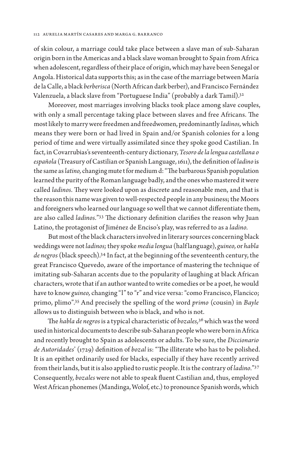of skin colour, a marriage could take place between a slave man of sub-Saharan origin born in the Americas and a black slave woman brought to Spain from Africa when adolescent, regardless of their place of origin, which may have been Senegal or Angola. Historical data supports this; as in the case of the marriage between María de la Calle, a black *berberisca* (North African dark berber), and Francisco Fernández Valenzuela, a black slave from "Portuguese India" (probably a dark Tamil).32

Moreover, most marriages involving blacks took place among slave couples, with only a small percentage taking place between slaves and free Africans. The most likely to marry were freedmen and freedwomen, predominantly *ladinos,* which means they were born or had lived in Spain and/or Spanish colonies for a long period of time and were virtually assimilated since they spoke good Castilian. In fact, in Covarrubias's seventeenth-century dictionary, *Tesoro de la lengua castellana o española* (Treasury of Castilian or Spanish Language, 1611), the definition of *ladino* is the same as *latino,* changing mute t for medium d: "The barbarous Spanish population learned the purity of the Roman language badly, and the ones who mastered it were called *ladinos.* They were looked upon as discrete and reasonable men, and that is the reason this name was given to well-respected people in any business; the Moors and foreigners who learned our language so well that we cannot differentiate them, are also called *ladinos.*"33 The dictionary definition clarifies the reason why Juan Latino, the protagonist of Jiménez de Enciso's play, was referred to as a *ladino.*

But most of the black characters involved in literary sources concerning black weddings were not *ladinos;* they spoke *media lengua* (half language), *guineo,* or *habla de negros* (black speech).34 In fact, at the beginning of the seventeenth century, the great Francisco Quevedo, aware of the importance of mastering the technique of imitating sub-Saharan accents due to the popularity of laughing at black African characters, wrote that if an author wanted to write comedies or be a poet, he would have to know *guineo,* changing "l" to "r" and vice versa: "como Francisco, Flancico; primo, plimo".35 And precisely the spelling of the word *primo* (cousin) in *Bayle*  allows us to distinguish between who is black, and who is not.

The *habla de negros* is a typical characteristic of *bozales,*36 which was the word used in historical documents to describe sub-Saharan people who were born in Africa and recently brought to Spain as adolescents or adults. To be sure, the *Diccionario de Autoridades*' (1729) definition of *bozal* is: "The illiterate who has to be polished. It is an epithet ordinarily used for blacks, especially if they have recently arrived from their lands, but it is also applied to rustic people. It is the contrary of *ladino.*"37 Consequently, *bozales* were not able to speak fluent Castilian and, thus, employed West African phonemes (Mandinga, Wolof, etc.) to pronounce Spanish words, which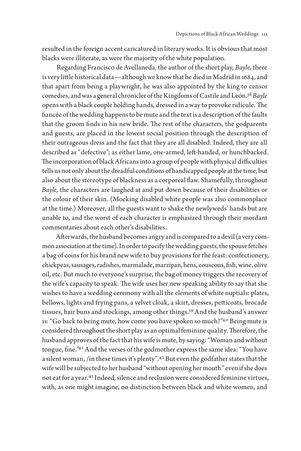resulted in the foreign accent caricatured in literary works. It is obvious that most blacks were illiterate, as were the majority of the white population.

Regarding Francisco de Avellaneda, the author of the short play, *Bayle,* there is very little historical data—although we know that he died in Madrid in 1684, and that apart from being a playwright, he was also appointed by the king to censor comedies, and was a general chronicler of the Kingdoms of Castile and León.38 *Bayle* opens with a black couple holding hands, dressed in a way to provoke ridicule. The fiancée of the wedding happens to be mute and the text is a description of the faults that the groom finds in his new bride. The rest of the characters, the godparents and guests, are placed in the lowest social position through the description of their outrageous dress and the fact that they are all disabled. Indeed, they are all described as "defective"; as either lame, one-armed, left-handed, or hunchbacked. The incorporation of black Africans into a group of people with physical difficulties tells us not only about the dreadful conditions of handicapped people at the time, but also about the stereotype of blackness as a corporeal flaw. Shamefully, throughout *Bayle,* the characters are laughed at and put down because of their disabilities or the colour of their skin. (Mocking disabled white people was also commonplace at the time.) Moreover, all the guests want to shake the newlyweds' hands but are unable to, and the worst of each character is emphasized through their mordant commentaries about each other's disabilities.

Afterwards, the husband becomes angry and is compared to a devil (a very common association at the time). In order to pacify the wedding guests, the spouse fetches a bag of coins for his brand new wife to buy provisions for the feast: confectionery, chickpeas, sausages, radishes, marmalade, marzipan, hens, couscous, fish, wine, olive oil, etc. But much to everyone's surprise, the bag of money triggers the recovery of the wife's capacity to speak. The wife uses her new speaking ability to say that she wishes to have a wedding ceremony with all the elements of white nuptials: plates, bellows, lights and frying pans, a velvet cloak, a skirt, dresses, petticoats, brocade tissues, hair buns and stockings, among other things.39 And the husband's answer is: "Go back to being mute, how come you have spoken so much?"40 Being mute is considered throughout the short play as an optimal feminine quality. Therefore, the husband approves of the fact that his wife is mute, by saying: "Woman and without tongue, fine."41 And the verses of the godmother express the same idea: "You have a silent woman, /in these times it's plenty".42 But even the godfather states that the wife will be subjected to her husband "without opening her mouth" even if she does not eat for a year.43 Indeed, silence and reclusion were considered feminine virtues, with, as one might imagine, no distinction between black and white women, and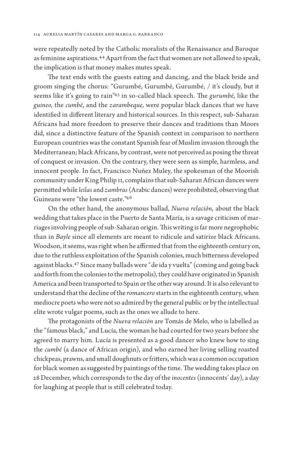were repeatedly noted by the Catholic moralists of the Renaissance and Baroque as feminine aspirations.44 Apart from the fact that women are not allowed to speak, the implication is that money makes mutes speak.

The text ends with the guests eating and dancing, and the black bride and groom singing the chorus: "Gurumbé, Gurumbé, Gurumbé, / it's cloudy, but it seems like it's going to rain"45 in so-called black speech. The *gurumbé,* like the *guineo,* the *cumbé,* and the *zarambeque,* were popular black dances that we have identified in different literary and historical sources. In this respect, sub-Saharan Africans had more freedom to preserve their dances and traditions than Moors did, since a distinctive feature of the Spanish context in comparison to northern European countries was the constant Spanish fear of Muslim invasion through the Mediterranean; black Africans, by contrast, were not perceived as posing the threat of conquest or invasion. On the contrary, they were seen as simple, harmless, and innocent people. In fact, Francisco Nuñez Muley, the spokesman of the Moorish community under King Philip II, complains that sub-Saharan African dances were permitted while *leilas* and *zambras* (Arabic dances) were prohibited, observing that Guineans were "the lowest caste."46

On the other hand, the anonymous ballad, *Nueva relación,* about the black wedding that takes place in the Puerto de Santa María, is a savage criticism of marriages involving people of sub-Saharan origin. This writing is far more negrophobic than in *Bayle* since all elements are meant to ridicule and satirize black Africans. Woodson, it seems, was right when he affirmed that from the eighteenth century on, due to the ruthless exploitation of the Spanish colonies, much bitterness developed against blacks.47 Since many ballads were "de ida y vuelta" (coming and going back and forth from the colonies to the metropolis), they could have originated in Spanish America and been transported to Spain or the other way around. It is also relevant to understand that the decline of the *romancero* starts in the eighteenth century, when mediocre poets who were not so admired by the general public or by the intellectual elite wrote vulgar poems, such as the ones we allude to here.

The protagonists of the *Nueva relación* are Tomás de Melo, who is labelled as the "famous black," and Lucía, the woman he had courted for two years before she agreed to marry him. Lucía is presented as a good dancer who knew how to sing the *cumbé* (a dance of African origin), and who earned her living selling roasted chickpeas, prawns, and small doughnuts or fritters, which was a common occupation for black women as suggested by paintings of the time. The wedding takes place on 28 December, which corresponds to the day of the *inocentes* (innocents' day), a day for laughing at people that is still celebrated today.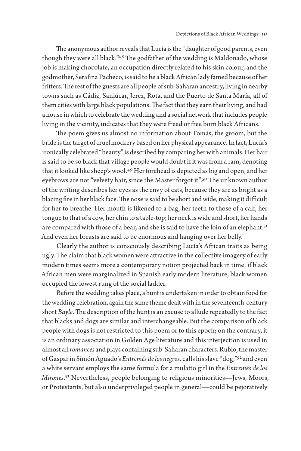The anonymous author reveals that Lucía is the "daughter of good parents, even though they were all black."48 The godfather of the wedding is Maldonado, whose job is making chocolate, an occupation directly related to his skin colour, and the godmother, Serafina Pacheco, is said to be a black African lady famed because of her fritters. The rest of the guests are all people of sub-Saharan ancestry, living in nearby towns such as Cádiz, Sanlúcar, Jerez, Rota, and the Puerto de Santa María, all of them cities with large black populations. The fact that they earn their living, and had a house in which to celebrate the wedding and a social network that includes people living in the vicinity, indicates that they were freed or free born black Africans.

The poem gives us almost no information about Tomás, the groom, but the bride is the target of cruel mockery based on her physical appearance. In fact, Lucía's ironically celebrated "beauty" is described by comparing her with animals. Her hair is said to be so black that village people would doubt if it was from a ram, denoting that it looked like sheep's wool.49 Her forehead is depicted as big and open, and her eyebrows are not "velvety hair, since the Master forgot it".50 The unknown author of the writing describes her eyes as the envy of cats, because they are as bright as a blazing fire in her black face. The nose is said to be short and wide, making it difficult for her to breathe. Her mouth is likened to a bag, her teeth to those of a calf, her tongue to that of a cow, her chin to a table-top; her neck is wide and short, her hands are compared with those of a bear, and she is said to have the loin of an elephant.<sup>51</sup> And even her breasts are said to be enormous and hanging over her belly.

Clearly the author is consciously describing Lucía's African traits as being ugly. The claim that black women were attractive in the collective imagery of early modern times seems more a contemporary notion projected back in time; if black African men were marginalized in Spanish early modern literature, black women occupied the lowest rung of the social ladder.

Before the wedding takes place, a hunt is undertaken in order to obtain food for the wedding celebration, again the same theme dealt with in the seventeenth-century short *Bayle.* The description of the hunt is an excuse to allude repeatedly to the fact that blacks and dogs are similar and interchangeable. But the comparison of black people with dogs is not restricted to this poem or to this epoch; on the contrary, it is an ordinary association in Golden Age literature and this interjection is used in almost all *romances* and plays containing sub-Saharan characters. Rubio, the master of Gaspar in Simón Aguado's *Entremés de los negros,* calls his slave "dog,"52 and even a white servant employs the same formula for a mulatto girl in the *Entremés de los Mirones.*53 Nevertheless, people belonging to religious minorities—Jews, Moors, or Protestants, but also underprivileged people in general—could be pejoratively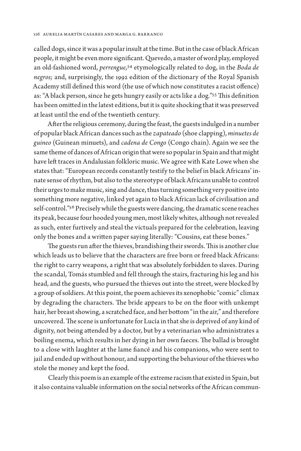called dogs, since it was a popular insult at the time. But in the case of black African people, it might be even more significant. Quevedo, a master of word play, employed an old-fashioned word, *perrengue,*54 etymologically related to dog, in the *Boda de negros;* and, surprisingly, the 1992 edition of the dictionary of the Royal Spanish Academy still defined this word (the use of which now constitutes a racist offence) as: "A black person, since he gets hungry easily or acts like a dog."55 This definition has been omitted in the latest editions, but it is quite shocking that it was preserved at least until the end of the twentieth century.

After the religious ceremony, during the feast, the guests indulged in a number of popular black African dances such as the *zapateado* (shoe clapping), *minuetes de guineo* (Guinean minuets), and *cadena de Congo* (Congo chain). Again we see the same theme of dances of African origin that were so popular in Spain and that might have left traces in Andalusian folkloric music. We agree with Kate Lowe when she states that: "European records constantly testify to the belief in black Africans' innate sense of rhythm, but also to the stereotype of black Africans unable to control their urges to make music, sing and dance, thus turning something very positive into something more negative, linked yet again to black African lack of civilisation and self-control."56 Precisely while the guests were dancing, the dramatic scene reaches its peak, because four hooded young men, most likely whites, although not revealed as such, enter furtively and steal the victuals prepared for the celebration, leaving only the bones and a written paper saying literally: "Cousins, eat these bones."

The guests run after the thieves, brandishing their swords. This is another clue which leads us to believe that the characters are free born or freed black Africans: the right to carry weapons, a right that was absolutely forbidden to slaves. During the scandal, Tomás stumbled and fell through the stairs, fracturing his leg and his head, and the guests, who pursued the thieves out into the street, were blocked by a group of soldiers. At this point, the poem achieves its xenophobic "comic" climax by degrading the characters. The bride appears to be on the floor with unkempt hair, her breast showing, a scratched face, and her bottom "in the air," and therefore uncovered. The scene is unfortunate for Lucía in that she is deprived of any kind of dignity, not being attended by a doctor, but by a veterinarian who administrates a boiling enema, which results in her dying in her own faeces. The ballad is brought to a close with laughter at the lame fiancé and his companions, who were sent to jail and ended up without honour, and supporting the behaviour of the thieves who stole the money and kept the food.

Clearly this poem is an example of the extreme racism that existed in Spain, but it also contains valuable information on the social networks of the African commun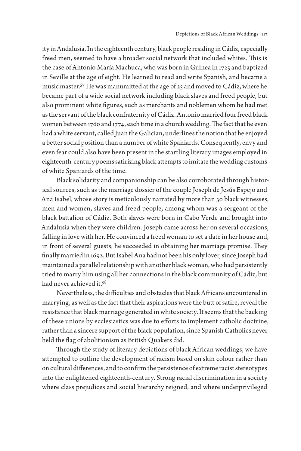ity in Andalusia. In the eighteenth century, black people residing in Cádiz, especially freed men, seemed to have a broader social network that included whites. This is the case of Antonio María Machuca, who was born in Guinea in 1725 and baptized in Seville at the age of eight. He learned to read and write Spanish, and became a music master.57 He was manumitted at the age of 25 and moved to Cádiz, where he became part of a wide social network including black slaves and freed people, but also prominent white figures, such as merchants and noblemen whom he had met as the servant of the black confraternity of Cádiz. Antonio married four freed black women between 1760 and 1774, each time in a church wedding. The fact that he even had a white servant, called Juan the Galician, underlines the notion that he enjoyed a better social position than a number of white Spaniards. Consequently, envy and even fear could also have been present in the startling literary images employed in eighteenth-century poems satirizing black attempts to imitate the wedding customs of white Spaniards of the time.

Black solidarity and companionship can be also corroborated through historical sources, such as the marriage dossier of the couple Joseph de Jesús Espejo and Ana Isabel, whose story is meticulously narrated by more than 30 black witnesses, men and women, slaves and freed people, among whom was a sergeant of the black battalion of Cádiz. Both slaves were born in Cabo Verde and brought into Andalusia when they were children. Joseph came across her on several occasions, falling in love with her. He convinced a freed woman to set a date in her house and, in front of several guests, he succeeded in obtaining her marriage promise. They finally married in 1692. But Isabel Ana had not been his only lover, since Joseph had maintained a parallel relationship with another black woman, who had persistently tried to marry him using all her connections in the black community of Cádiz, but had never achieved it.<sup>58</sup>

Nevertheless, the difficulties and obstacles that black Africans encountered in marrying, as well as the fact that their aspirations were the butt of satire, reveal the resistance that black marriage generated in white society. It seems that the backing of these unions by ecclesiastics was due to efforts to implement catholic doctrine, rather than a sincere support of the black population, since Spanish Catholics never held the flag of abolitionism as British Quakers did.

Through the study of literary depictions of black African weddings, we have attempted to outline the development of racism based on skin colour rather than on cultural differences, and to confirm the persistence of extreme racist stereotypes into the enlightened eighteenth-century. Strong racial discrimination in a society where class prejudices and social hierarchy reigned, and where underprivileged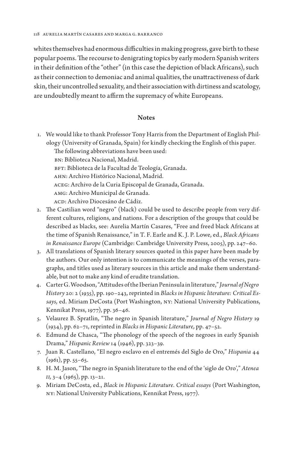whites themselves had enormous difficulties in making progress, gave birth to these popular poems. The recourse to denigrating topics by early modern Spanish writers in their definition of the "other" (in this case the depiction of black Africans), such as their connection to demoniac and animal qualities, the unattractiveness of dark skin, their uncontrolled sexuality, and their association with dirtiness and scatology, are undoubtedly meant to affirm the supremacy of white Europeans.

#### **Notes**

1. We would like to thank Professor Tony Harris from the Department of English Philology (University of Granada, Spain) for kindly checking the English of this paper. The following abbreviations have been used: BN: Biblioteca Nacional, Madrid.

BFT: Biblioteca de la Facultad de Teología, Granada. AHN: Archivo Histórico Nacional, Madrid. ACEG: Archivo de la Curia Episcopal de Granada, Granada. AMG: Archivo Municipal de Granada. ACD: Archivo Diocesáno de Cádiz.

- 2. The Castilian word "negro" (black) could be used to describe people from very different cultures, religions, and nations. For a description of the groups that could be described as blacks, see: Aurelia Martín Casares, "Free and freed black Africans at the time of Spanish Renaissance," in T. F. Earle and K. J. P. Lowe, ed., *Black Africans in Renaissance Europe* (Cambridge: Cambridge University Press, 2005), pp. 247–60.
- 3. All translations of Spanish literary sources quoted in this paper have been made by the authors. Our only intention is to communicate the meanings of the verses, paragraphs, and titles used as literary sources in this article and make them understandable, but not to make any kind of erudite translation.
- 4. Carter G. Woodson, "Attitudes of the Iberian Peninsula in literature," *Journal of Negro History* 20: 2 (1935), pp. 190–243, reprinted in *Blacks in Hispanic literature: Critical Essays,* ed. Miriam DeCosta (Port Washington, NY: National University Publications, Kennikat Press, 1977), pp. 36–46.
- 5. Velaurez B. Spratlin, "The negro in Spanish literature," *Journal of Negro History* 19 (1934), pp. 62–71, reprinted in *Blacks in Hispanic Literature,* pp. 47–52.
- 6. Edmund de Chasca, "The phonology of the speech of the negroes in early Spanish Drama," *Hispanic Review* 14 (1946), pp. 323–39.
- 7. Juan R. Castellano, "El negro esclavo en el entremés del Siglo de Oro," *Hispania* 44  $(1961)$ , pp. 55–65.
- 8. H. M. Jason, "The negro in Spanish literature to the end of the 'siglo de Oro'," *Atenea II,* 3–4 (1965), pp. 13–21.
- 9. Miriam DeCosta, ed., *Black in Hispanic Literature. Critical essays* (Port Washington, NY: National University Publications, Kennikat Press, 1977).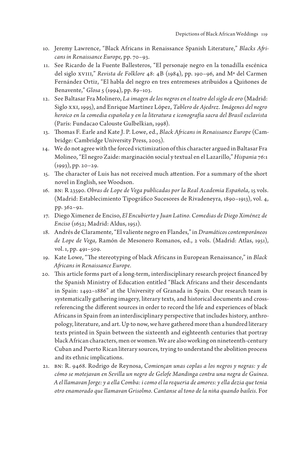- 10. Jeremy Lawrence, "Black Africans in Renaissance Spanish Literature," *Blacks Africans in Renaissance Europe,* pp. 70–93.
- 11. See Ricardo de la Fuente Ballesteros, "El personaje negro en la tonadilla escénica del siglo XVIII," *Revista de Folklore* 48: 4B (1984), pp. 190–96, and Mª del Carmen Fernández Ortiz, "El habla del negro en tres entremeses atribuidos a Quiñones de Benavente," *Glosa* 5 (1994), pp. 89–103.
- 12. See Baltasar Fra Molinero, *La imagen de los negros en el teatro del siglo de oro* (Madrid: Siglo XXI, 1995), and Enrique Martínez López, *Tablero de Ajedrez. Imágenes del negro heroico en la comedia española y en la literatura e iconografía sacra del Brasil esclavista*  (París: Fundacao Calouste Gulbelkian, 1998).
- 13. Thomas F. Earle and Kate J. P. Lowe, ed., *Black Africans in Renaissance Europe* (Cambridge: Cambridge University Press, 2005).
- 14. We do not agree with the forced victimization of this character argued in Baltasar Fra Molineo, "El negro Zaide: marginación social y textual en el Lazarillo," *Hispania* 76:1 (1993), pp. 20–29.
- 15. The character of Luis has not received much attention. For a summary of the short novel in English, see Woodson.
- 16. BN: R 23590. *Obras de Lope de Vega publicadas por la Real Academia Española,* 15 vols. (Madrid: Establecimiento Tipográfico Sucesores de Rivadeneyra, 1890–1913), vol. 4, pp. 362–92.
- 17. Diego Ximenez de Enciso, *El Encubierto y Juan Latino. Comedias de Diego Ximénez de Enciso* (1652; Madrid: Aldus, 1951).
- 18. Andrés de Claramente, "El valiente negro en Flandes," in *Dramáticos contemporáneos de Lope de Vega,* Ramón de Mesonero Romanos, ed., 2 vols. (Madrid: Atlas, 1951), vol. 1, pp. 491–509.
- 19. Kate Lowe, "The stereotyping of black Africans in European Renaissance," in *Black Africans in Renaissance Europe.*
- 20. This article forms part of a long-term, interdisciplinary research project financed by the Spanish Ministry of Education entitled "Black Africans and their descendants in Spain: 1492–1886" at the University of Granada in Spain. Our research team is systematically gathering imagery, literary texts, and historical documents and crossreferencing the different sources in order to record the life and experiences of black Africans in Spain from an interdisciplinary perspective that includes history, anthropology, literature, and art. Up to now, we have gathered more than a hundred literary texts printed in Spain between the sixteenth and eighteenth centuries that portray black African characters, men or women. We are also working on nineteenth-century Cuban and Puerto Rican literary sources, trying to understand the abolition process and its ethnic implications.
- 21. BN: R. 9468. Rodrigo de Reynosa, *Comiençan unas coplas a los negros y negras: y de cómo se motejavan en Sevilla un negro de Gelofe Mandinga contra una negra de Guinea. A el llamavan Jorge: y a ella Comba: i como el la requeria de amores: y ella dezia que tenia otro enamorado que llamavan Grisolmo. Cantanse al tono de la niña quando baileis.* For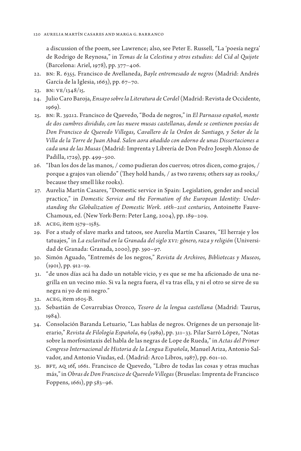a discussion of the poem, see Lawrence; also, see Peter E. Russell, "La 'poesía negra' de Rodrigo de Reynosa," in *Temas de la Celestina y otros estudios: del Cid al Quijote*  (Barcelona: Ariel, 1978), pp. 377–406.

- 22. BN: R. 6355. Francisco de Avellaneda, *Bayle entremesado de negros* (Madrid: Andrés García de la Iglesia, 1663), pp. 67–70.
- 23. BN: VE/1348/15.
- 24. Julio Caro Baroja, *Ensayo sobre la Literatura de Cordel* (Madrid: Revista de Occidente, 1969).
- 25. BN: R. 39212. Francisco de Quevedo, "Boda de negros," in *El Parnasso español, monte de dos cumbres dividido, con las nueve musas castellanas, donde se contienen poesías de Don Francisco de Quevedo Villegas, Cavallero de la Orden de Santiago, y Señor de la Villa de la Torre de Juan Abad. Salen aora añadido con adorno de unas Dissertaciones a cada una de las Musas* (Madrid: Imprenta y Librería de Don Pedro Joseph Alonso de Padilla, 1729), pp. 499–500.
- 26. "Iban los dos de las manos, / como pudieran dos cuervos; otros dicen, como grajos, / porque a grajos van oliendo" (They hold hands, / as two ravens; others say as rooks,/ because they smell like rooks).
- 27. Aurelia Martín Casares, "Domestic service in Spain: Legislation, gender and social practice," in *Domestic Service and the Formation of the European Identity: Understanding the Globalization of Domestic Work. 16th–21st centuries,* Antoinette Fauve-Chamoux, ed. (New York-Bern: Peter Lang, 2004), pp. 189–209.
- 28. ACEG, item 1579–1585.
- 29. For a study of slave marks and tatoos, see Aurelia Martín Casares, "El herraje y los tatuajes," in *La esclavitud en la Granada del siglo XVI: género, raza y religión* (Universidad de Granada: Granada, 2000), pp. 390–97.
- 30. Simón Aguado, "Entremés de los negros," *Revista de Archivos, Bibliotecas y Museos,* (1901), pp. 912–19.
- 31. "de unos días acá ha dado un notable vicio, y es que se me ha aficionado de una negrilla en un vecino mío. Si va la negra fuera, él va tras ella, y ni el otro se sirve de su negra ni yo de mi negro."
- 32. ACEG, item 1605-B.
- 33. Sebastián de Covarrubias Orozco, *Tesoro de la lengua castellana* (Madrid: Taurus, 1984).
- 34. Consolación Baranda Letuario, "Las hablas de negros. Orígenes de un personaje literario," *Revista de Filología Española*, 69 (1989), pp. 311–33. Pilar Sarró López, "Notas sobre la morfosintaxis del habla de las negras de Lope de Rueda," in *Actas del Primer Congreso Internacional de Historia de la Lengua Española*, Manuel Ariza, Antonio Salvador, and Antonio Viudas, ed. (Madrid: Arco Libros, 1987), pp. 601–10.
- 35. BFT, AQ 16f, 1661. Francisco de Quevedo, "Libro de todas las cosas y otras muchas más," in *Obras de Don Francisco de Quevedo Villegas* (Bruselas: Imprenta de Francisco Foppens, 1661), pp 583–96.